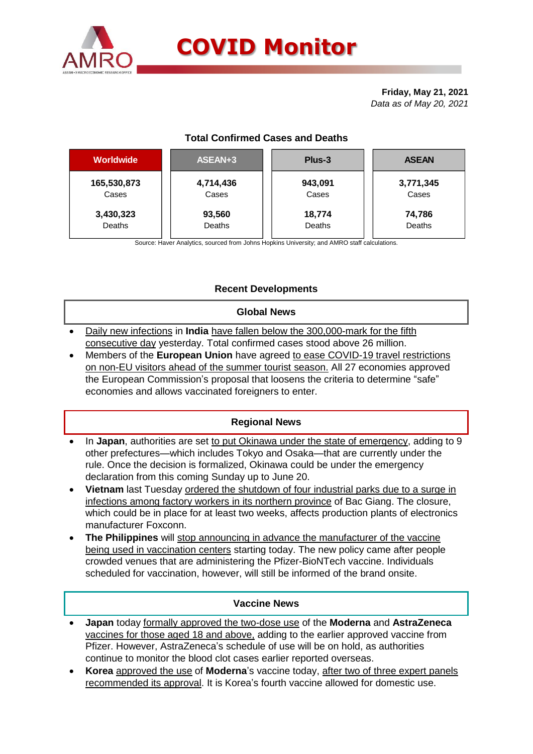

# **COVID Monitor**

**Friday, May 21, 2021** *Data as of May 20, 2021*

# **Total Confirmed Cases and Deaths**

| <b>Worldwide</b> | ASEAN+3   | Plus-3  | <b>ASEAN</b> |  |  |
|------------------|-----------|---------|--------------|--|--|
| 165,530,873      | 4,714,436 | 943,091 | 3,771,345    |  |  |
| Cases            | Cases     | Cases   | Cases        |  |  |
| 3,430,323        | 93,560    | 18,774  | 74,786       |  |  |
| Deaths           | Deaths    | Deaths  | Deaths       |  |  |

Source: Haver Analytics, sourced from Johns Hopkins University; and AMRO staff calculations.

# **Recent Developments**

### **Global News**

- Daily new infections in **India** have fallen below the 300,000-mark for the fifth consecutive day yesterday. Total confirmed cases stood above 26 million.
- Members of the **European Union** have agreed to ease COVID-19 travel restrictions on non-EU visitors ahead of the summer tourist season. All 27 economies approved the European Commission's proposal that loosens the criteria to determine "safe" economies and allows vaccinated foreigners to enter.

# **Regional News**

- In **Japan**, authorities are set to put Okinawa under the state of emergency, adding to 9 other prefectures—which includes Tokyo and Osaka—that are currently under the rule. Once the decision is formalized, Okinawa could be under the emergency declaration from this coming Sunday up to June 20.
- **Vietnam** last Tuesday ordered the shutdown of four industrial parks due to a surge in infections among factory workers in its northern province of Bac Giang. The closure, which could be in place for at least two weeks, affects production plants of electronics manufacturer Foxconn.
- **The Philippines** will stop announcing in advance the manufacturer of the vaccine being used in vaccination centers starting today. The new policy came after people crowded venues that are administering the Pfizer-BioNTech vaccine. Individuals scheduled for vaccination, however, will still be informed of the brand onsite.

### **Vaccine News**

- **Japan** today formally approved the two-dose use of the **Moderna** and **AstraZeneca**  vaccines for those aged 18 and above, adding to the earlier approved vaccine from Pfizer. However, AstraZeneca's schedule of use will be on hold, as authorities continue to monitor the blood clot cases earlier reported overseas.
- **Korea** approved the use of **Moderna**'s vaccine today, after two of three expert panels recommended its approval. It is Korea's fourth vaccine allowed for domestic use.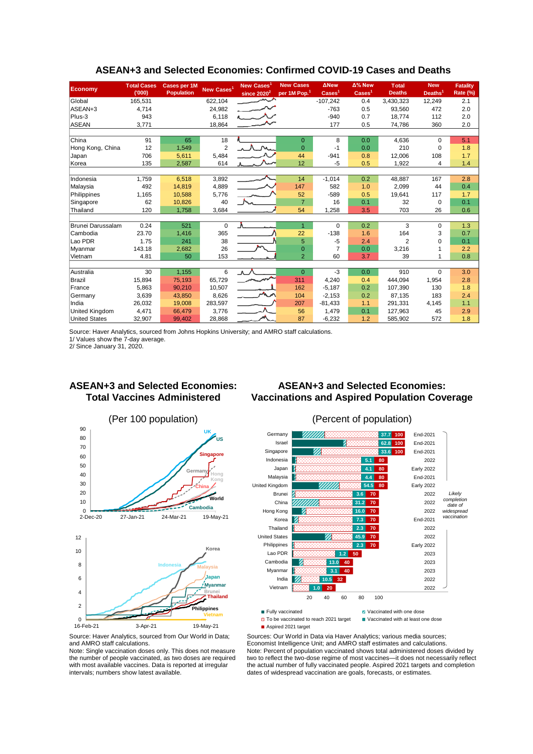| <b>Economy</b>       | <b>Total Cases</b><br>(000) | <b>Cases per 1M</b><br><b>Population</b> | New Cases <sup>1</sup> | New Cases <sup>1</sup><br>since $2020^2$ | <b>New Cases</b><br>per 1M Pop. <sup>1</sup> | <b>ANew</b><br>$\text{Case} \text{s}^1$ | $\Delta$ % New<br>$\text{Case} \mathsf{s}^1$ | <b>Total</b><br><b>Deaths</b> | <b>New</b><br>Deaths <sup>1</sup> | <b>Fatality</b><br>Rate (%) |
|----------------------|-----------------------------|------------------------------------------|------------------------|------------------------------------------|----------------------------------------------|-----------------------------------------|----------------------------------------------|-------------------------------|-----------------------------------|-----------------------------|
| Global               | 165,531                     |                                          | 622,104                |                                          |                                              | $-107,242$                              | 0.4                                          | 3,430,323                     | 12,249                            | 2.1                         |
| ASEAN+3              | 4,714                       |                                          | 24,982                 |                                          |                                              | $-763$                                  | 0.5                                          | 93,560                        | 472                               | 2.0                         |
| Plus-3               | 943                         |                                          | 6,118                  |                                          |                                              | $-940$                                  | 0.7                                          | 18,774                        | 112                               | 2.0                         |
| <b>ASEAN</b>         | 3,771                       |                                          | 18,864                 |                                          |                                              | 177                                     | 0.5                                          | 74,786                        | 360                               | 2.0                         |
|                      |                             |                                          |                        |                                          |                                              |                                         |                                              |                               |                                   |                             |
| China                | 91                          | 65                                       | 18                     |                                          | $\overline{0}$                               | 8                                       | 0.0                                          | 4,636                         | $\Omega$                          | 5.1                         |
| Hong Kong, China     | 12                          | 1,549                                    | $\overline{2}$         |                                          | $\overline{0}$                               | $-1$                                    | 0.0                                          | 210                           | $\mathbf 0$                       | 1.8                         |
| Japan                | 706                         | 5,611                                    | 5,484                  |                                          | 44                                           | $-941$                                  | 0.8                                          | 12,006                        | 108                               | 1.7                         |
| Korea                | 135                         | 2,587                                    | 614                    |                                          | 12                                           | $-5$                                    | 0.5                                          | 1,922                         | 4                                 | 1.4                         |
|                      |                             |                                          |                        |                                          |                                              |                                         |                                              |                               |                                   |                             |
| Indonesia            | 1,759                       | 6,518                                    | 3,892                  |                                          | 14                                           | $-1,014$                                | 0.2                                          | 48,887                        | 167                               | 2.8                         |
| Malaysia             | 492                         | 14,819                                   | 4,889                  |                                          | 147                                          | 582                                     | 1.0                                          | 2,099                         | 44                                | 0.4                         |
| Philippines          | 1,165                       | 10,588                                   | 5,776                  |                                          | 52                                           | $-589$                                  | 0.5                                          | 19,641                        | 117                               | 1.7                         |
| Singapore            | 62                          | 10,826                                   | 40                     |                                          | $\overline{7}$                               | 16                                      | 0.1                                          | 32                            | $\Omega$                          | 0.1                         |
| Thailand             | 120                         | 1,758                                    | 3,684                  |                                          | 54                                           | 1,258                                   | 3.5                                          | 703                           | 26                                | 0.6                         |
|                      |                             |                                          |                        |                                          |                                              |                                         |                                              |                               |                                   |                             |
| Brunei Darussalam    | 0.24                        | 521                                      | $\mathbf 0$            | Λ.                                       | $\overline{1}$                               | $\Omega$                                | 0.2                                          | 3                             | $\Omega$                          | 1.3                         |
| Cambodia             | 23.70                       | 1,416                                    | 365                    |                                          | 22                                           | $-138$                                  | 1.6                                          | 164                           | 3                                 | 0.7                         |
| Lao PDR              | 1.75                        | 241                                      | 38                     |                                          | 5                                            | $-5$                                    | 2.4                                          | $\overline{2}$                | $\Omega$                          | 0.1                         |
| Myanmar              | 143.18                      | 2,682                                    | 26                     |                                          | $\overline{0}$                               | $\overline{7}$                          | 0.0                                          | 3,216                         |                                   | 2.2                         |
| Vietnam              | 4.81                        | 50                                       | 153                    |                                          | $\overline{2}$                               | 60                                      | 3.7                                          | 39                            |                                   | 0.8                         |
|                      |                             |                                          |                        |                                          |                                              |                                         |                                              |                               |                                   |                             |
| Australia            | 30                          | 1,155                                    | 6                      | $\Lambda$ /                              | $\Omega$                                     | $-3$                                    | 0.0                                          | 910                           | $\Omega$                          | 3.0                         |
| <b>Brazil</b>        | 15,894                      | 75,193                                   | 65,729                 |                                          | 311                                          | 4,240                                   | 0.4                                          | 444,094                       | 1,954                             | 2.8                         |
| France               | 5,863                       | 90,210                                   | 10,507                 | $\mathcal{A}_{\mathbf{k}}$ .             | 162                                          | $-5,187$                                | 0.2                                          | 107.390                       | 130                               | 1.8                         |
| Germany              | 3,639                       | 43.850                                   | 8,626                  |                                          | 104                                          | $-2.153$                                | 0.2                                          | 87.135                        | 183                               | 2.4                         |
| India                | 26,032                      | 19,008                                   | 283,597                |                                          | 207                                          | $-81,433$                               | 1.1                                          | 291.331                       | 4,145                             | 1.1                         |
| United Kingdom       | 4,471                       | 66,479                                   | 3,776                  |                                          | 56                                           | 1,479                                   | 0.1                                          | 127,963                       | 45                                | 2.9                         |
| <b>United States</b> | 32,907                      | 99,402                                   | 28,868                 |                                          | 87                                           | $-6,232$                                | 1.2                                          | 585,902                       | 572                               | 1.8                         |

#### **ASEAN+3 and Selected Economies: Confirmed COVID-19 Cases and Deaths**

Source: Haver Analytics, sourced from Johns Hopkins University; and AMRO staff calculations.

1/ Values show the 7-day average.

2/ Since January 31, 2020.

#### **ASEAN+3 and Selected Economies: Total Vaccines Administered**

# **ASEAN+3 and Selected Economies: Vaccinations and Aspired Population Coverage**





Aspired 2021 target

 $\Box$  To be vaccinated to reach 2021 target  $\Box$  Vaccinated with at least one dose

Sources: Our World in Data via Haver Analytics; various media sources; Economist Intelligence Unit; and AMRO staff estimates and calculations. Note: Percent of population vaccinated shows total administered doses divided by two to reflect the two-dose regime of most vaccines—it does not necessarily reflect the actual number of fully vaccinated people. Aspired 2021 targets and completion dates of widespread vaccination are goals, forecasts, or estimates.

Source: Haver Analytics, sourced from Our World in Data; and AMRO staff calculations.

Note: Single vaccination doses only. This does not measure the number of people vaccinated, as two doses are required with most available vaccines. Data is reported at irregular intervals; numbers show latest available.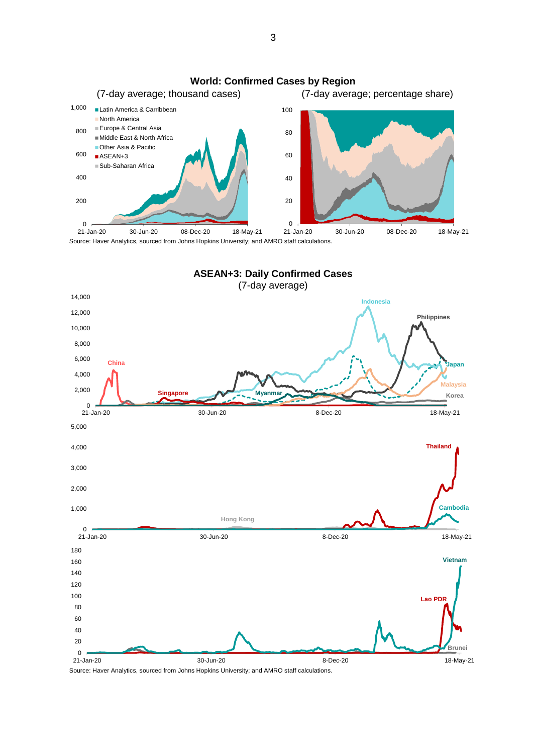

Source: Haver Analytics, sourced from Johns Hopkins University; and AMRO staff calculations.



Source: Haver Analytics, sourced from Johns Hopkins University; and AMRO staff calculations.

3